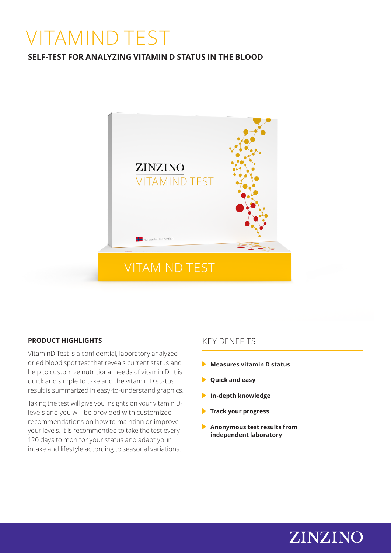# VITAMIND TEST

# **SELF-TEST FOR ANALYZING VITAMIN D STATUS IN THE BLOOD**



## **PRODUCT HIGHLIGHTS**

VitaminD Test is a confidential, laboratory analyzed dried blood spot test that reveals current status and help to customize nutritional needs of vitamin D. It is quick and simple to take and the vitamin D status result is summarized in easy-to-understand graphics.

Taking the test will give you insights on your vitamin Dlevels and you will be provided with customized recommendations on how to maintian or improve your levels. It is recommended to take the test every 120 days to monitor your status and adapt your intake and lifestyle according to seasonal variations.

# KEY BENEFITS

- **Measures vitamin D status**
- **Quick and easy**
- **In-depth knowledge**
- **Track your progress**
- **Anonymous test results from independent laboratory**

ZINZINO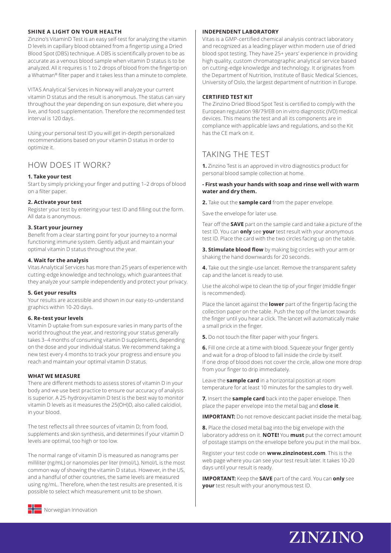#### **SHINE A LIGHT ON YOUR HEALTH**

Zinzino's VitaminD Test is an easy self-test for analyzing the vitamin D levels in capillary blood obtained from a fingertip using a Dried Blood Spot (DBS) technique. A DBS is scientifically proven to be as accurate as a venous blood sample when vitamin D status is to be analyzed. All it requires is 1 to 2 drops of blood from the fingertip on a Whatman® filter paper and it takes less than a minute to complete.

VITAS Analytical Services in Norway will analyze your current vitamin D status and the result is anonymous. The status can vary throughout the year depending on sun exposure, diet where you live, and food supplementation. Therefore the recommended test interval is 120 days.

Using your personal test ID you will get in-depth personalized recommendations based on your vitamin D status in order to optimize it.

### HOW DOES IT WORK?

#### **1. Take your test**

Start by simply pricking your finger and putting 1–2 drops of blood on a filter paper.

#### **2. Activate your test**

Register your test by entering your test ID and filling out the form. All data is anonymous.

#### **3. Start your journey**

Benefit from a clear starting point for your journey to a normal functioning immune system. Gently adjust and maintain your optimal vitamin D status throughout the year.

#### **4. Wait for the analysis**

Vitas Analytical Services has more than 25 years of experience with cutting-edge knowledge and technology, which guarantees that they analyze your sample independently and protect your privacy.

#### **5. Get your results**

Your results are accessible and shown in our easy-to-understand graphics within 10-20 days.

#### **6. Re-test your levels**

Vitamin D uptake from sun exposure varies in many parts of the world throughout the year, and restoring your status generally takes 3–4 months of consuming vitamin D supplements, depending on the dose and your individual status. We recommend taking a new test every 4 months to track your progress and ensure you reach and maintain your optimal vitamin D status.

#### **WHAT WE MEASURE**

There are different methods to assess stores of vitamin D in your body and we use best practice to ensure our accuracy of analysis is superior. A 25-hydroxyvitamin D test is the best way to monitor vitamin D levels as it measures the 25(OH)D, also called calcidiol, in your blood.

The test reflects all three sources of vitamin D; from food, supplements and skin synthesis, and determines if your vitamin D levels are optimal, too high or too low.

The normal range of vitamin D is measured as nanograms per milliliter (ng/mL) or nanomoles per liter (nmol/L). Nmol/L is the most common way of showing the vitamin D status. However, in the US, and a handful of other countries, the same levels are measured using ng/mL. Therefore, when the test results are presented, it is possible to select which measurement unit to be shown.

#### **INDEPENDENT LABORATORY**

Vitas is a GMP-certified chemical analysis contract laboratory and recognized as a leading player within modern use of dried blood spot testing. They have 25+ years' experience in providing high quality, custom chromatographic analytical service based on cutting-edge knowledge and technology. It originates from the Department of Nutrition, Institute of Basic Medical Sciences, University of Oslo, the largest department of nutrition in Europe.

#### **CERTIFIED TEST KIT**

The Zinzino Dried Blood Spot Test is certified to comply with the European regulation 98/79/EB on in vitro diagnostic (IVD) medical devices. This means the test and all its components are in compliance with applicable laws and regulations, and so the Kit has the CE mark on it.

# TAKING THE TEST

**1.** Zinzino Test is an approved in vitro diagnostics product for personal blood sample collection at home.

#### **- First wash your hands with soap and rinse well with warm water and dry them.**

**2.** Take out the **sample card** from the paper envelope.

Save the envelope for later use.

Tear off the **SAVE** part on the sample card and take a picture of the test ID. You can **only** see **your** test result with your anonymous test ID. Place the card with the two circles facing up on the table.

**3. Stimulate blood flow** by making big circles with your arm or shaking the hand downwards for 20 seconds.

**4.** Take out the single-use lancet. Remove the transparent safety cap and the lancet is ready to use.

Use the alcohol wipe to clean the tip of your finger (middle finger is recommended).

Place the lancet against the **lower** part of the fingertip facing the collection paper on the table. Push the top of the lancet towards the finger until you hear a click. The lancet will automatically make a small prick in the finger.

**5.** Do not touch the filter paper with your fingers.

**6.** Fill one circle at a time with blood. Squeeze your finger gently and wait for a drop of blood to fall inside the circle by itself. If one drop of blood does not cover the circle, allow one more drop from your finger to drip immediately.

Leave the **sample card** in a horizontal position at room temperature for at least 10 minutes for the samples to dry well.

**7.** Insert the **sample card** back into the paper envelope. Then place the paper envelope into the metal bag and **close it**.

**IMPORTANT:** Do not remove desiccant packet inside the metal bag.

**8.** Place the closed metal bag into the big envelope with the laboratory address on it. **NOTE!** You **must** put the correct amount of postage stamps on the envelope before you put in the mail box.

Register your test code on **www.zinzinotest.com**. This is the web page where you can see your test result later. It takes 10-20 days until your result is ready.

**IMPORTANT:** Keep the **SAVE** part of the card. You can **only** see **your** test result with your anonymous test ID.